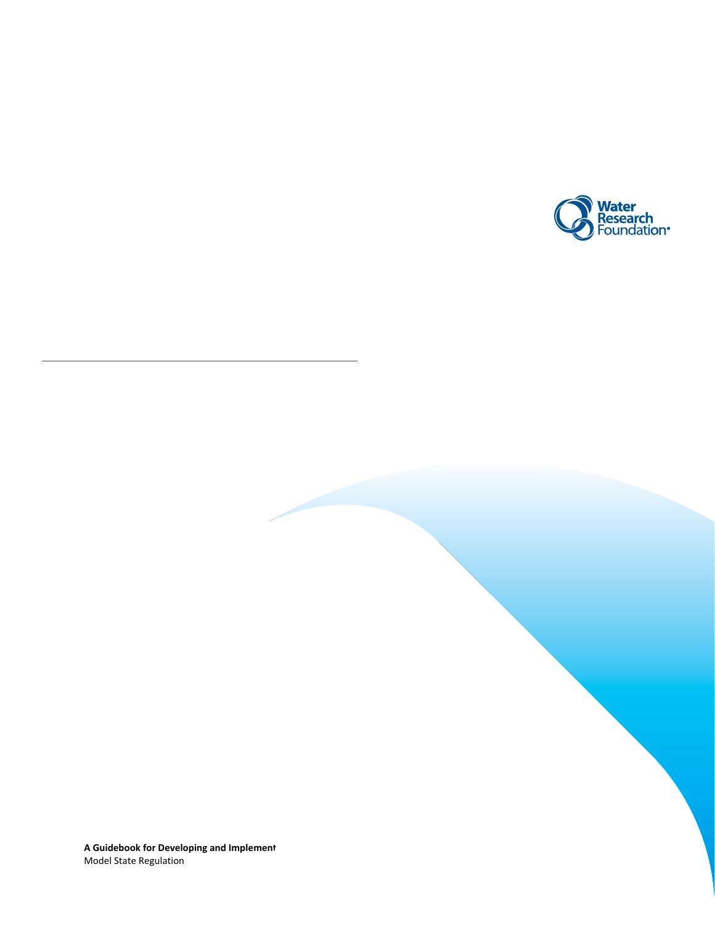

**A Guidebook for Developing and Implement** Model State Regulation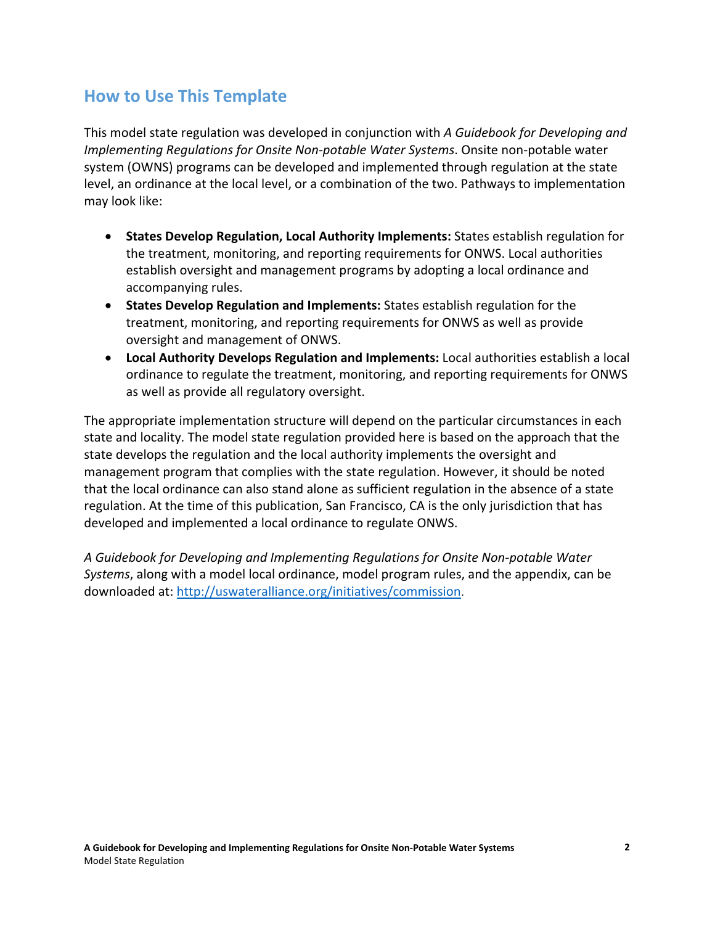# **How to Use This Template**

This model state regulation was developed in conjunction with *A Guidebook for Developing and Implementing Regulations for Onsite Non-potable Water Systems*. Onsite non-potable water system (OWNS) programs can be developed and implemented through regulation at the state level, an ordinance at the local level, or a combination of the two. Pathways to implementation may look like:

- **States Develop Regulation, Local Authority Implements:** States establish regulation for the treatment, monitoring, and reporting requirements for ONWS. Local authorities establish oversight and management programs by adopting a local ordinance and accompanying rules.
- **States Develop Regulation and Implements:** States establish regulation for the treatment, monitoring, and reporting requirements for ONWS as well as provide oversight and management of ONWS.
- **Local Authority Develops Regulation and Implements:** Local authorities establish a local ordinance to regulate the treatment, monitoring, and reporting requirements for ONWS as well as provide all regulatory oversight.

The appropriate implementation structure will depend on the particular circumstances in each state and locality. The model state regulation provided here is based on the approach that the state develops the regulation and the local authority implements the oversight and management program that complies with the state regulation. However, it should be noted that the local ordinance can also stand alone as sufficient regulation in the absence of a state regulation. At the time of this publication, San Francisco, CA is the only jurisdiction that has developed and implemented a local ordinance to regulate ONWS.

*A Guidebook for Developing and Implementing Regulations for Onsite Non-potable Water Systems*, along with a model local ordinance, model program rules, and the appendix, can be downloaded at:<http://uswateralliance.org/initiatives/commission>.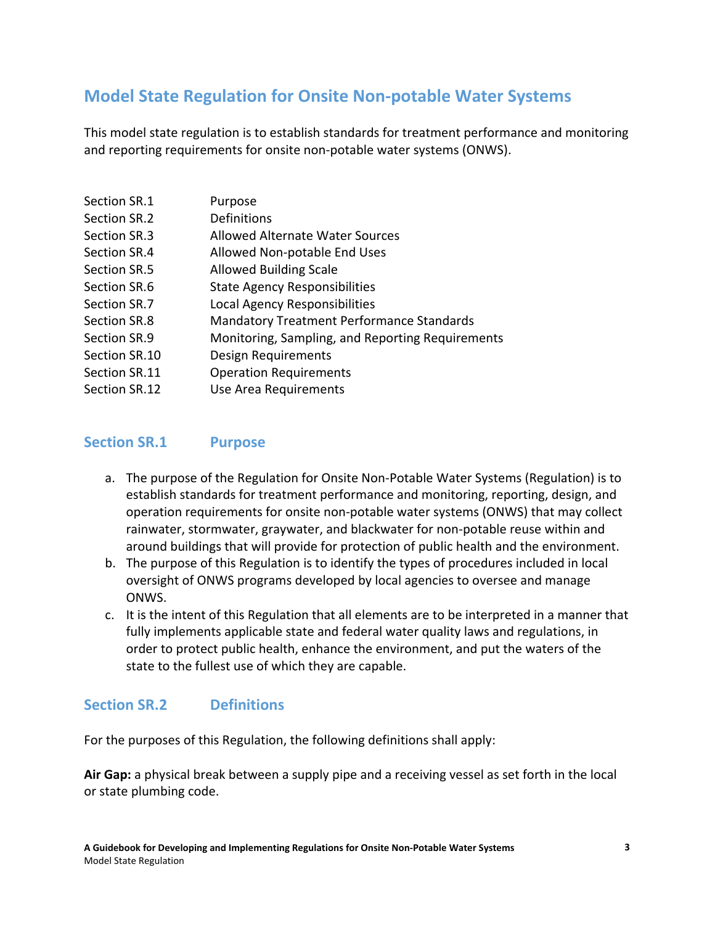# **Model State Regulation for Onsite Non-potable Water Systems**

This model state regulation is to establish standards for treatment performance and monitoring and reporting requirements for onsite non-potable water systems (ONWS).

| Section SR.1  | Purpose                                          |
|---------------|--------------------------------------------------|
| Section SR.2  | Definitions                                      |
| Section SR.3  | <b>Allowed Alternate Water Sources</b>           |
| Section SR.4  | Allowed Non-potable End Uses                     |
| Section SR.5  | <b>Allowed Building Scale</b>                    |
| Section SR.6  | <b>State Agency Responsibilities</b>             |
| Section SR.7  | Local Agency Responsibilities                    |
| Section SR.8  | <b>Mandatory Treatment Performance Standards</b> |
| Section SR.9  | Monitoring, Sampling, and Reporting Requirements |
| Section SR.10 | Design Requirements                              |
| Section SR.11 | <b>Operation Requirements</b>                    |
| Section SR.12 | Use Area Requirements                            |

### **Section SR.1 Purpose**

- a. The purpose of the Regulation for Onsite Non-Potable Water Systems (Regulation) is to establish standards for treatment performance and monitoring, reporting, design, and operation requirements for onsite non-potable water systems (ONWS) that may collect rainwater, stormwater, graywater, and blackwater for non-potable reuse within and around buildings that will provide for protection of public health and the environment.
- b. The purpose of this Regulation is to identify the types of procedures included in local oversight of ONWS programs developed by local agencies to oversee and manage ONWS.
- c. It is the intent of this Regulation that all elements are to be interpreted in a manner that fully implements applicable state and federal water quality laws and regulations, in order to protect public health, enhance the environment, and put the waters of the state to the fullest use of which they are capable.

## **Section SR.2 Definitions**

For the purposes of this Regulation, the following definitions shall apply:

**Air Gap:** a physical break between a supply pipe and a receiving vessel as set forth in the local or state plumbing code.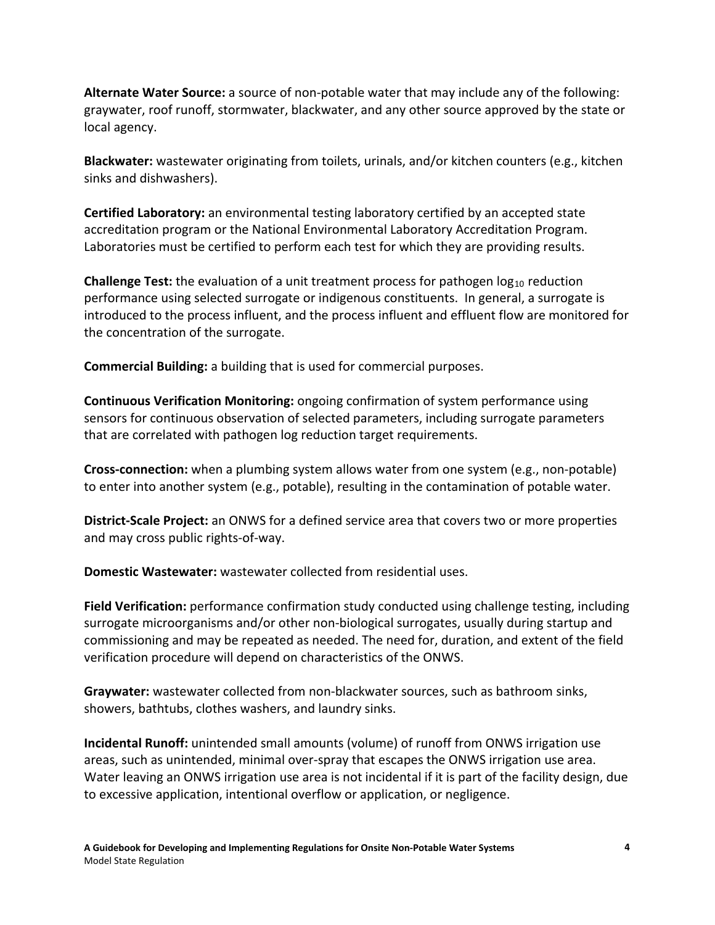**Alternate Water Source:** a source of non-potable water that may include any of the following: graywater, roof runoff, stormwater, blackwater, and any other source approved by the state or local agency.

**Blackwater:** wastewater originating from toilets, urinals, and/or kitchen counters (e.g., kitchen sinks and dishwashers).

**Certified Laboratory:** an environmental testing laboratory certified by an accepted state accreditation program or the National Environmental Laboratory Accreditation Program. Laboratories must be certified to perform each test for which they are providing results.

**Challenge Test:** the evaluation of a unit treatment process for pathogen log<sub>10</sub> reduction performance using selected surrogate or indigenous constituents. In general, a surrogate is introduced to the process influent, and the process influent and effluent flow are monitored for the concentration of the surrogate.

**Commercial Building:** a building that is used for commercial purposes.

**Continuous Verification Monitoring:** ongoing confirmation of system performance using sensors for continuous observation of selected parameters, including surrogate parameters that are correlated with pathogen log reduction target requirements.

**Cross-connection:** when a plumbing system allows water from one system (e.g., non-potable) to enter into another system (e.g., potable), resulting in the contamination of potable water.

**District-Scale Project:** an ONWS for a defined service area that covers two or more properties and may cross public rights-of-way.

**Domestic Wastewater:** wastewater collected from residential uses.

**Field Verification:** performance confirmation study conducted using challenge testing, including surrogate microorganisms and/or other non-biological surrogates, usually during startup and commissioning and may be repeated as needed. The need for, duration, and extent of the field verification procedure will depend on characteristics of the ONWS.

**Graywater:** wastewater collected from non-blackwater sources, such as bathroom sinks, showers, bathtubs, clothes washers, and laundry sinks.

**Incidental Runoff:** unintended small amounts (volume) of runoff from ONWS irrigation use areas, such as unintended, minimal over-spray that escapes the ONWS irrigation use area. Water leaving an ONWS irrigation use area is not incidental if it is part of the facility design, due to excessive application, intentional overflow or application, or negligence.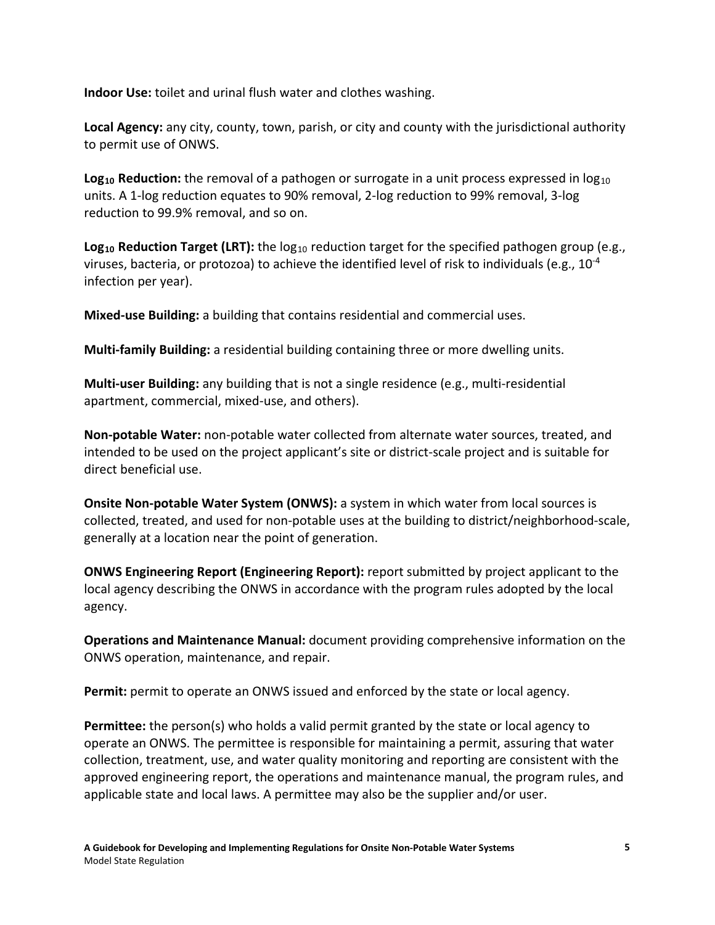**Indoor Use:** toilet and urinal flush water and clothes washing.

**Local Agency:** any city, county, town, parish, or city and county with the jurisdictional authority to permit use of ONWS.

Log<sub>10</sub> Reduction: the removal of a pathogen or surrogate in a unit process expressed in log<sub>10</sub> units. A 1-log reduction equates to 90% removal, 2-log reduction to 99% removal, 3-log reduction to 99.9% removal, and so on.

**Log<sub>10</sub> Reduction Target (LRT):** the log<sub>10</sub> reduction target for the specified pathogen group (e.g., viruses, bacteria, or protozoa) to achieve the identified level of risk to individuals (e.g.,  $10^{-4}$ infection per year).

**Mixed-use Building:** a building that contains residential and commercial uses.

**Multi-family Building:** a residential building containing three or more dwelling units.

**Multi-user Building:** any building that is not a single residence (e.g., multi-residential apartment, commercial, mixed-use, and others).

**Non-potable Water:** non-potable water collected from alternate water sources, treated, and intended to be used on the project applicant's site or district-scale project and is suitable for direct beneficial use.

**Onsite Non-potable Water System (ONWS):** a system in which water from local sources is collected, treated, and used for non-potable uses at the building to district/neighborhood-scale, generally at a location near the point of generation.

**ONWS Engineering Report (Engineering Report):** report submitted by project applicant to the local agency describing the ONWS in accordance with the program rules adopted by the local agency.

**Operations and Maintenance Manual:** document providing comprehensive information on the ONWS operation, maintenance, and repair.

**Permit:** permit to operate an ONWS issued and enforced by the state or local agency.

**Permittee:** the person(s) who holds a valid permit granted by the state or local agency to operate an ONWS. The permittee is responsible for maintaining a permit, assuring that water collection, treatment, use, and water quality monitoring and reporting are consistent with the approved engineering report, the operations and maintenance manual, the program rules, and applicable state and local laws. A permittee may also be the supplier and/or user.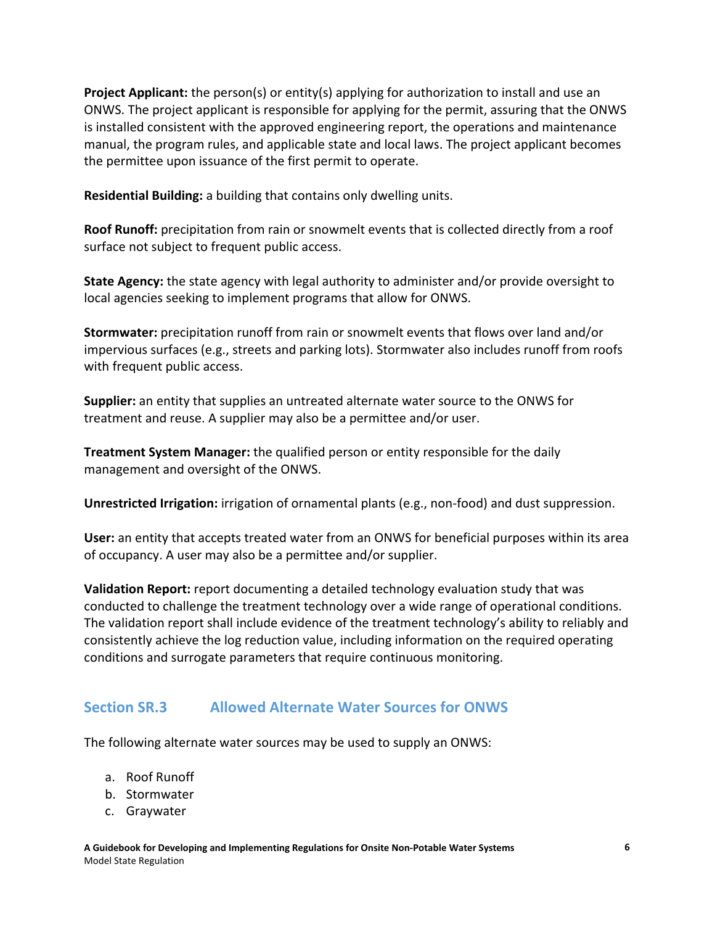**Project Applicant:** the person(s) or entity(s) applying for authorization to install and use an ONWS. The project applicant is responsible for applying for the permit, assuring that the ONWS is installed consistent with the approved engineering report, the operations and maintenance manual, the program rules, and applicable state and local laws. The project applicant becomes the permittee upon issuance of the first permit to operate.

**Residential Building:** a building that contains only dwelling units.

**Roof Runoff:** precipitation from rain or snowmelt events that is collected directly from a roof surface not subject to frequent public access.

**State Agency:** the state agency with legal authority to administer and/or provide oversight to local agencies seeking to implement programs that allow for ONWS.

**Stormwater:** precipitation runoff from rain or snowmelt events that flows over land and/or impervious surfaces (e.g., streets and parking lots). Stormwater also includes runoff from roofs with frequent public access.

**Supplier:** an entity that supplies an untreated alternate water source to the ONWS for treatment and reuse. A supplier may also be a permittee and/or user.

**Treatment System Manager:** the qualified person or entity responsible for the daily management and oversight of the ONWS.

**Unrestricted Irrigation:** irrigation of ornamental plants (e.g., non-food) and dust suppression.

**User:** an entity that accepts treated water from an ONWS for beneficial purposes within its area of occupancy. A user may also be a permittee and/or supplier.

**Validation Report:** report documenting a detailed technology evaluation study that was conducted to challenge the treatment technology over a wide range of operational conditions. The validation report shall include evidence of the treatment technology's ability to reliably and consistently achieve the log reduction value, including information on the required operating conditions and surrogate parameters that require continuous monitoring.

# **Section SR.3 Allowed Alternate Water Sources for ONWS**

The following alternate water sources may be used to supply an ONWS:

- a. Roof Runoff
- b. Stormwater
- c. Graywater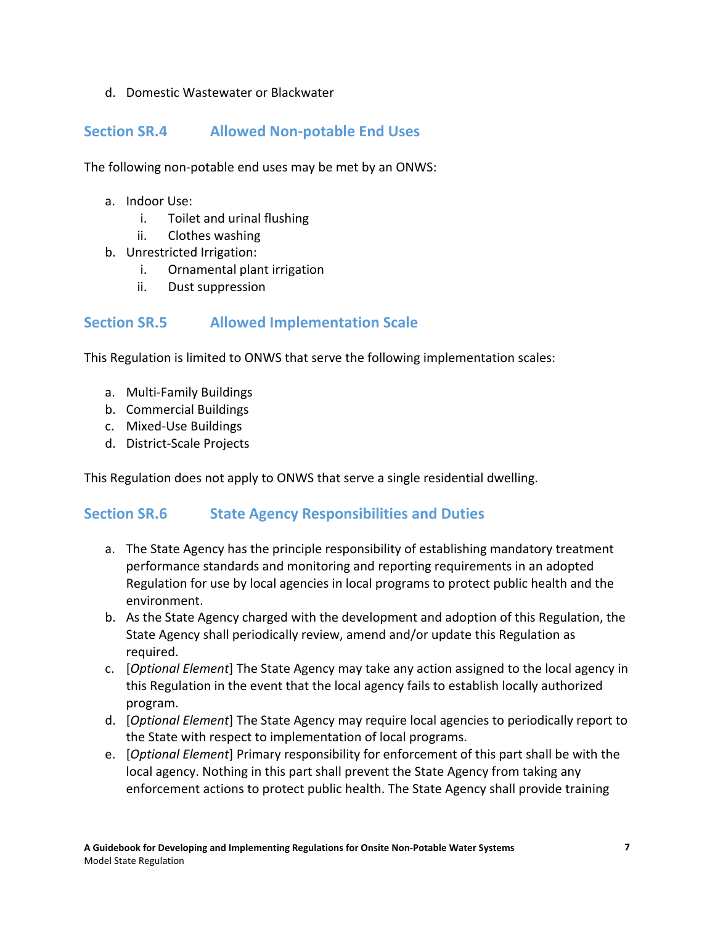#### d. Domestic Wastewater or Blackwater

## **Section SR.4 Allowed Non-potable End Uses**

The following non-potable end uses may be met by an ONWS:

- a. Indoor Use:
	- i. Toilet and urinal flushing
	- ii. Clothes washing
- b. Unrestricted Irrigation:
	- i. Ornamental plant irrigation
	- ii. Dust suppression

### **Section SR.5 Allowed Implementation Scale**

This Regulation is limited to ONWS that serve the following implementation scales:

- a. Multi-Family Buildings
- b. Commercial Buildings
- c. Mixed-Use Buildings
- d. District-Scale Projects

This Regulation does not apply to ONWS that serve a single residential dwelling.

## **Section SR.6 State Agency Responsibilities and Duties**

- a. The State Agency has the principle responsibility of establishing mandatory treatment performance standards and monitoring and reporting requirements in an adopted Regulation for use by local agencies in local programs to protect public health and the environment.
- b. As the State Agency charged with the development and adoption of this Regulation, the State Agency shall periodically review, amend and/or update this Regulation as required.
- c. [*Optional Element*] The State Agency may take any action assigned to the local agency in this Regulation in the event that the local agency fails to establish locally authorized program.
- d. [*Optional Element*] The State Agency may require local agencies to periodically report to the State with respect to implementation of local programs.
- e. [*Optional Element*] Primary responsibility for enforcement of this part shall be with the local agency. Nothing in this part shall prevent the State Agency from taking any enforcement actions to protect public health. The State Agency shall provide training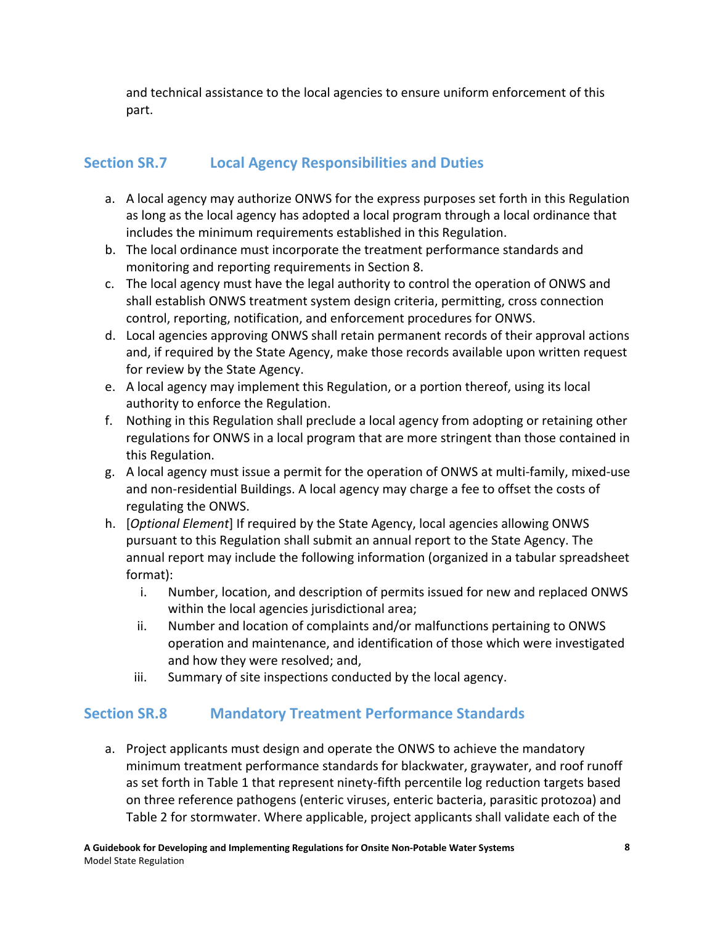and technical assistance to the local agencies to ensure uniform enforcement of this part.

# **Section SR.7 Local Agency Responsibilities and Duties**

- a. A local agency may authorize ONWS for the express purposes set forth in this Regulation as long as the local agency has adopted a local program through a local ordinance that includes the minimum requirements established in this Regulation.
- b. The local ordinance must incorporate the treatment performance standards and monitoring and reporting requirements in Section 8.
- c. The local agency must have the legal authority to control the operation of ONWS and shall establish ONWS treatment system design criteria, permitting, cross connection control, reporting, notification, and enforcement procedures for ONWS.
- d. Local agencies approving ONWS shall retain permanent records of their approval actions and, if required by the State Agency, make those records available upon written request for review by the State Agency.
- e. A local agency may implement this Regulation, or a portion thereof, using its local authority to enforce the Regulation.
- f. Nothing in this Regulation shall preclude a local agency from adopting or retaining other regulations for ONWS in a local program that are more stringent than those contained in this Regulation.
- g. A local agency must issue a permit for the operation of ONWS at multi-family, mixed-use and non-residential Buildings. A local agency may charge a fee to offset the costs of regulating the ONWS.
- h. [*Optional Element*] If required by the State Agency, local agencies allowing ONWS pursuant to this Regulation shall submit an annual report to the State Agency. The annual report may include the following information (organized in a tabular spreadsheet format):
	- i. Number, location, and description of permits issued for new and replaced ONWS within the local agencies jurisdictional area;
	- ii. Number and location of complaints and/or malfunctions pertaining to ONWS operation and maintenance, and identification of those which were investigated and how they were resolved; and,
	- iii. Summary of site inspections conducted by the local agency.

# **Section SR.8 Mandatory Treatment Performance Standards**

a. Project applicants must design and operate the ONWS to achieve the mandatory minimum treatment performance standards for blackwater, graywater, and roof runoff as set forth in Table 1 that represent ninety-fifth percentile log reduction targets based on three reference pathogens (enteric viruses, enteric bacteria, parasitic protozoa) and Table 2 for stormwater. Where applicable, project applicants shall validate each of the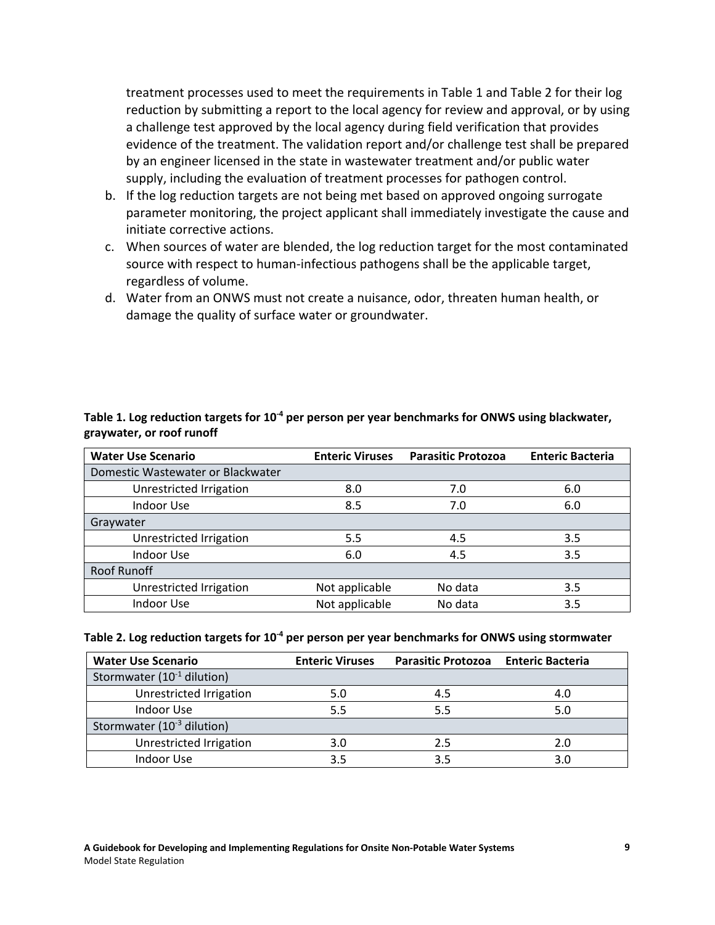treatment processes used to meet the requirements in Table 1 and Table 2 for their log reduction by submitting a report to the local agency for review and approval, or by using a challenge test approved by the local agency during field verification that provides evidence of the treatment. The validation report and/or challenge test shall be prepared by an engineer licensed in the state in wastewater treatment and/or public water supply, including the evaluation of treatment processes for pathogen control.

- b. If the log reduction targets are not being met based on approved ongoing surrogate parameter monitoring, the project applicant shall immediately investigate the cause and initiate corrective actions.
- c. When sources of water are blended, the log reduction target for the most contaminated source with respect to human-infectious pathogens shall be the applicable target, regardless of volume.
- d. Water from an ONWS must not create a nuisance, odor, threaten human health, or damage the quality of surface water or groundwater.

| <b>Water Use Scenario</b>         | <b>Enteric Viruses</b> | <b>Parasitic Protozoa</b> | <b>Enteric Bacteria</b> |
|-----------------------------------|------------------------|---------------------------|-------------------------|
| Domestic Wastewater or Blackwater |                        |                           |                         |
| Unrestricted Irrigation           | 8.0                    | 7.0                       | 6.0                     |
| Indoor Use                        | 8.5                    | 7.0                       | 6.0                     |
| Graywater                         |                        |                           |                         |
| Unrestricted Irrigation           | 5.5                    | 4.5                       | 3.5                     |
| Indoor Use                        | 6.0                    | 4.5                       | 3.5                     |
| Roof Runoff                       |                        |                           |                         |
| Unrestricted Irrigation           | Not applicable         | No data                   | 3.5                     |
| Indoor Use                        | Not applicable         | No data                   | 3.5                     |

#### Table 1. Log reduction targets for 10<sup>-4</sup> per person per year benchmarks for ONWS using blackwater, **graywater, or roof runoff**

| Table 2. Log reduction targets for $10^4$ per person per year benchmarks for ONWS using stormwater |  |  |
|----------------------------------------------------------------------------------------------------|--|--|
|----------------------------------------------------------------------------------------------------|--|--|

| <b>Water Use Scenario</b>              | <b>Enteric Viruses</b> | Parasitic Protozoa Enteric Bacteria |     |
|----------------------------------------|------------------------|-------------------------------------|-----|
| Stormwater $(10^{-1}$ dilution)        |                        |                                     |     |
| Unrestricted Irrigation                | 5.0                    | 4.5                                 | 4.0 |
| Indoor Use                             | 5.5                    | 5.5                                 | 5.0 |
| Stormwater (10 <sup>-3</sup> dilution) |                        |                                     |     |
| Unrestricted Irrigation                | 3.0                    | 2.5                                 | 2.0 |
| Indoor Use                             | 3.5                    | 3.5                                 | 3.0 |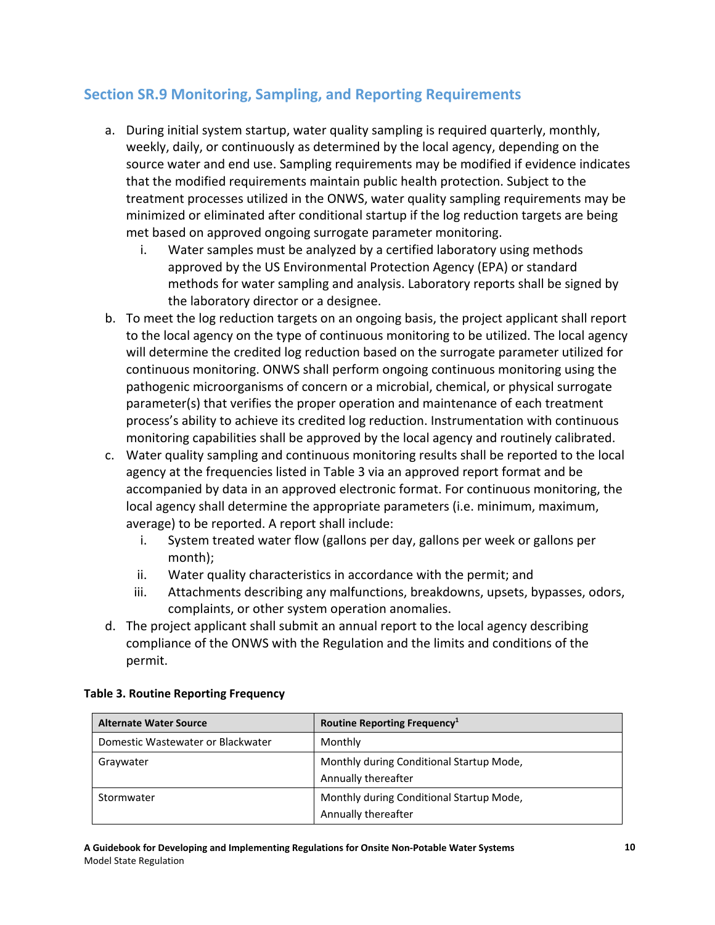# **Section SR.9 Monitoring, Sampling, and Reporting Requirements**

- a. During initial system startup, water quality sampling is required quarterly, monthly, weekly, daily, or continuously as determined by the local agency, depending on the source water and end use. Sampling requirements may be modified if evidence indicates that the modified requirements maintain public health protection. Subject to the treatment processes utilized in the ONWS, water quality sampling requirements may be minimized or eliminated after conditional startup if the log reduction targets are being met based on approved ongoing surrogate parameter monitoring.
	- i. Water samples must be analyzed by a certified laboratory using methods approved by the US Environmental Protection Agency (EPA) or standard methods for water sampling and analysis. Laboratory reports shall be signed by the laboratory director or a designee.
- b. To meet the log reduction targets on an ongoing basis, the project applicant shall report to the local agency on the type of continuous monitoring to be utilized. The local agency will determine the credited log reduction based on the surrogate parameter utilized for continuous monitoring. ONWS shall perform ongoing continuous monitoring using the pathogenic microorganisms of concern or a microbial, chemical, or physical surrogate parameter(s) that verifies the proper operation and maintenance of each treatment process's ability to achieve its credited log reduction. Instrumentation with continuous monitoring capabilities shall be approved by the local agency and routinely calibrated.
- c. Water quality sampling and continuous monitoring results shall be reported to the local agency at the frequencies listed in Table 3 via an approved report format and be accompanied by data in an approved electronic format. For continuous monitoring, the local agency shall determine the appropriate parameters (i.e. minimum, maximum, average) to be reported. A report shall include:
	- i. System treated water flow (gallons per day, gallons per week or gallons per month);
	- ii. Water quality characteristics in accordance with the permit; and
	- iii. Attachments describing any malfunctions, breakdowns, upsets, bypasses, odors, complaints, or other system operation anomalies.
- d. The project applicant shall submit an annual report to the local agency describing compliance of the ONWS with the Regulation and the limits and conditions of the permit.

| <b>Alternate Water Source</b>     | Routine Reporting Frequency <sup>1</sup>                        |
|-----------------------------------|-----------------------------------------------------------------|
| Domestic Wastewater or Blackwater | Monthly                                                         |
| Graywater                         | Monthly during Conditional Startup Mode,<br>Annually thereafter |
| Stormwater                        | Monthly during Conditional Startup Mode,<br>Annually thereafter |

#### **Table 3. Routine Reporting Frequency**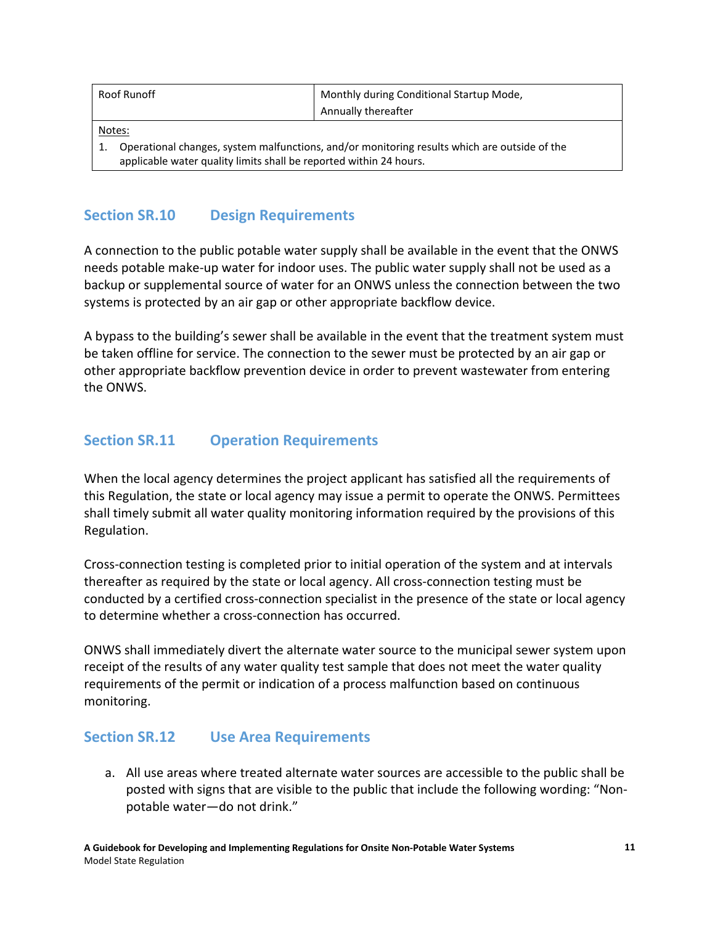| Roof Runoff                                                                                                                                                        | Monthly during Conditional Startup Mode, |  |  |
|--------------------------------------------------------------------------------------------------------------------------------------------------------------------|------------------------------------------|--|--|
|                                                                                                                                                                    | Annually thereafter                      |  |  |
| Notes:                                                                                                                                                             |                                          |  |  |
| Operational changes, system malfunctions, and/or monitoring results which are outside of the<br>applicable water quality limits shall be reported within 24 hours. |                                          |  |  |

## **Section SR.10 Design Requirements**

A connection to the public potable water supply shall be available in the event that the ONWS needs potable make-up water for indoor uses. The public water supply shall not be used as a backup or supplemental source of water for an ONWS unless the connection between the two systems is protected by an air gap or other appropriate backflow device.

A bypass to the building's sewer shall be available in the event that the treatment system must be taken offline for service. The connection to the sewer must be protected by an air gap or other appropriate backflow prevention device in order to prevent wastewater from entering the ONWS.

## **Section SR.11 Operation Requirements**

When the local agency determines the project applicant has satisfied all the requirements of this Regulation, the state or local agency may issue a permit to operate the ONWS. Permittees shall timely submit all water quality monitoring information required by the provisions of this Regulation.

Cross-connection testing is completed prior to initial operation of the system and at intervals thereafter as required by the state or local agency. All cross-connection testing must be conducted by a certified cross-connection specialist in the presence of the state or local agency to determine whether a cross-connection has occurred.

ONWS shall immediately divert the alternate water source to the municipal sewer system upon receipt of the results of any water quality test sample that does not meet the water quality requirements of the permit or indication of a process malfunction based on continuous monitoring.

#### **Section SR.12 Use Area Requirements**

a. All use areas where treated alternate water sources are accessible to the public shall be posted with signs that are visible to the public that include the following wording: "Nonpotable water—do not drink."